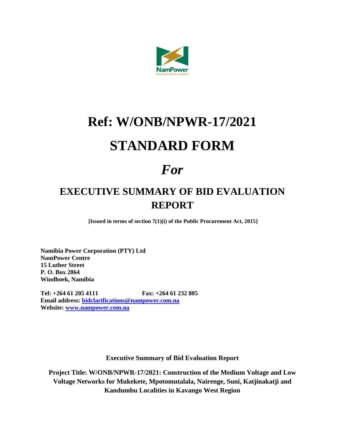

# **Ref: W/ONB/NPWR-17/2021 STANDARD FORM**

## *For*

### **EXECUTIVE SUMMARY OF BID EVALUATION REPORT**

**[Issued in terms of section 7(1)(i) of the Public Procurement Act, 2015]**

**Namibia Power Corporation (PTY) Ltd NamPower Centre 15 Luther Street P. O. Box 2864 Windhoek, Namibia**

**Tel: +264 61 205 4111 Fax: +264 61 232 805 Email address: [bidclarifications@nampower.com.na](mailto:bidclarifications@nampower.com.na) Website: [www.nampower.com.na](http://www.nampower.com.na/)**

**Executive Summary of Bid Evaluation Report**

**Project Title: W/ONB/NPWR-17/2021: Construction of the Medium Voltage and Low Voltage Networks for Mukekete, Mpotomutalala, Nairenge, Suni, Katjinakatji and Kandumbu Localities in Kavango West Region**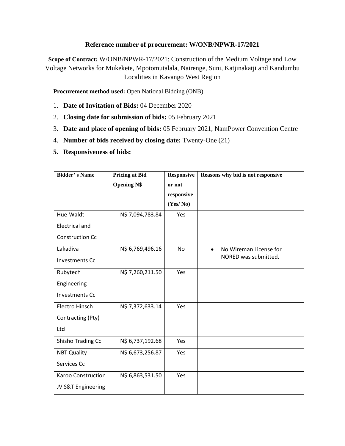#### **Reference number of procurement: W/ONB/NPWR-17/2021**

**Scope of Contract:** W/ONB/NPWR-17/2021: Construction of the Medium Voltage and Low Voltage Networks for Mukekete, Mpotomutalala, Nairenge, Suni, Katjinakatji and Kandumbu Localities in Kavango West Region

**Procurement method used:** Open National Bidding (ONB)

- 1. **Date of Invitation of Bids:** 04 December 2020
- 2. **Closing date for submission of bids:** 05 February 2021
- 3. **Date and place of opening of bids:** 05 February 2021, NamPower Convention Centre
- 4. **Number of bids received by closing date:** Twenty-One (21)
- **5. Responsiveness of bids:**

| <b>Bidder's Name</b>   | <b>Pricing at Bid</b> | <b>Responsive</b>    | Reasons why bid is not responsive   |
|------------------------|-----------------------|----------------------|-------------------------------------|
|                        | <b>Opening N\$</b>    | or not<br>responsive |                                     |
|                        |                       | (Yes/No)             |                                     |
| Hue-Waldt              | N\$ 7,094,783.84      | Yes                  |                                     |
| <b>Electrical and</b>  |                       |                      |                                     |
| <b>Construction Cc</b> |                       |                      |                                     |
| Lakadiva               | N\$ 6,769,496.16      | No                   | No Wireman License for<br>$\bullet$ |
| <b>Investments Cc</b>  |                       |                      | NORED was submitted.                |
| Rubytech               | N\$ 7,260,211.50      | Yes                  |                                     |
| Engineering            |                       |                      |                                     |
| <b>Investments Cc</b>  |                       |                      |                                     |
| Electro Hinsch         | N\$ 7,372,633.14      | Yes                  |                                     |
| Contracting (Pty)      |                       |                      |                                     |
| Ltd                    |                       |                      |                                     |
| Shisho Trading Cc      | N\$ 6,737,192.68      | Yes                  |                                     |
| <b>NBT Quality</b>     | N\$ 6,673,256.87      | Yes                  |                                     |
| Services Cc            |                       |                      |                                     |
| Karoo Construction     | N\$ 6,863,531.50      | Yes                  |                                     |
| JV S&T Engineering     |                       |                      |                                     |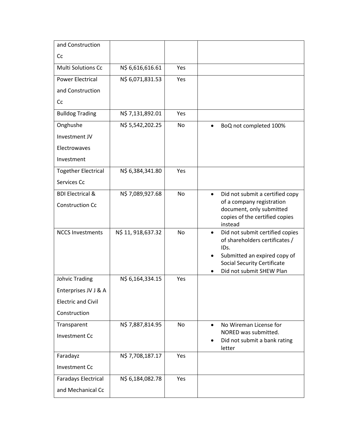| and Construction            |                    |     |                                                         |
|-----------------------------|--------------------|-----|---------------------------------------------------------|
| Cc                          |                    |     |                                                         |
| <b>Multi Solutions Cc</b>   | N\$ 6,616,616.61   | Yes |                                                         |
| <b>Power Electrical</b>     | N\$ 6,071,831.53   | Yes |                                                         |
| and Construction            |                    |     |                                                         |
| Cc                          |                    |     |                                                         |
| <b>Bulldog Trading</b>      | N\$ 7,131,892.01   | Yes |                                                         |
| Onghushe                    | N\$ 5,542,202.25   | No  | BoQ not completed 100%                                  |
| Investment JV               |                    |     |                                                         |
| Electrowaves                |                    |     |                                                         |
| Investment                  |                    |     |                                                         |
| <b>Together Electrical</b>  | N\$ 6,384,341.80   | Yes |                                                         |
| Services Cc                 |                    |     |                                                         |
| <b>BDI Electrical &amp;</b> | N\$ 7,089,927.68   | No  | Did not submit a certified copy<br>$\bullet$            |
| <b>Construction Cc</b>      |                    |     | of a company registration<br>document, only submitted   |
|                             |                    |     | copies of the certified copies                          |
| <b>NCCS Investments</b>     | N\$ 11, 918,637.32 | No  | instead<br>Did not submit certified copies<br>$\bullet$ |
|                             |                    |     | of shareholders certificates /                          |
|                             |                    |     | IDs.<br>Submitted an expired copy of                    |
|                             |                    |     | <b>Social Security Certificate</b>                      |
| Johvic Trading              | N\$ 6,164,334.15   | Yes | Did not submit SHEW Plan                                |
| Enterprises JV J & A        |                    |     |                                                         |
| <b>Electric and Civil</b>   |                    |     |                                                         |
| Construction                |                    |     |                                                         |
| Transparent                 | N\$ 7,887,814.95   | No  | No Wireman License for                                  |
| <b>Investment Cc</b>        |                    |     | NORED was submitted.                                    |
|                             |                    |     | Did not submit a bank rating<br>letter                  |
| Faradayz                    | N\$ 7,708,187.17   | Yes |                                                         |
| <b>Investment Cc</b>        |                    |     |                                                         |
| <b>Faradays Electrical</b>  | N\$ 6,184,082.78   | Yes |                                                         |
| and Mechanical Cc           |                    |     |                                                         |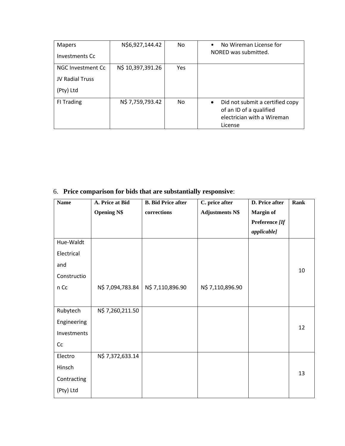| <b>Mapers</b><br>Investments Cc                   | N\$6,927,144.42   | No. | No Wireman License for<br>$\bullet$<br>NORED was submitted.                                                      |
|---------------------------------------------------|-------------------|-----|------------------------------------------------------------------------------------------------------------------|
| NGC Investment Cc<br>JV Radial Truss<br>(Pty) Ltd | N\$ 10,397,391.26 | Yes |                                                                                                                  |
| FI Trading                                        | N\$ 7,759,793.42  | No. | Did not submit a certified copy<br>$\bullet$<br>of an ID of a qualified<br>electrician with a Wireman<br>License |

### 6. **Price comparison for bids that are substantially responsive**:

| <b>Name</b> | A. Price at Bid    | <b>B.</b> Bid Price after | C. price after         | D. Price after   | <b>Rank</b> |
|-------------|--------------------|---------------------------|------------------------|------------------|-------------|
|             | <b>Opening N\$</b> | corrections               | <b>Adjustments N\$</b> | <b>Margin of</b> |             |
|             |                    |                           |                        | Preference [If   |             |
|             |                    |                           |                        | applicable]      |             |
| Hue-Waldt   |                    |                           |                        |                  |             |
| Electrical  |                    |                           |                        |                  |             |
| and         |                    |                           |                        |                  | 10          |
| Constructio |                    |                           |                        |                  |             |
| n Cc        | N\$ 7,094,783.84   | N\$ 7,110,896.90          | N\$ 7,110,896.90       |                  |             |
|             |                    |                           |                        |                  |             |
| Rubytech    | N\$ 7,260,211.50   |                           |                        |                  |             |
| Engineering |                    |                           |                        |                  | 12          |
| Investments |                    |                           |                        |                  |             |
| Cc          |                    |                           |                        |                  |             |
| Electro     | N\$ 7,372,633.14   |                           |                        |                  |             |
| Hinsch      |                    |                           |                        |                  | 13          |
| Contracting |                    |                           |                        |                  |             |
| (Pty) Ltd   |                    |                           |                        |                  |             |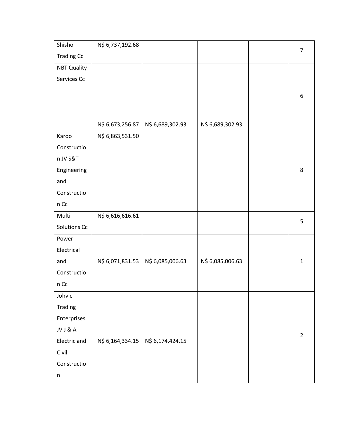| Shisho             | N\$ 6,737,192.68 |                  |                  | $\overline{7}$ |
|--------------------|------------------|------------------|------------------|----------------|
| <b>Trading Cc</b>  |                  |                  |                  |                |
| <b>NBT Quality</b> |                  |                  |                  |                |
| Services Cc        |                  |                  |                  |                |
|                    |                  |                  |                  | 6              |
|                    |                  |                  |                  |                |
|                    |                  |                  |                  |                |
|                    | N\$ 6,673,256.87 | N\$ 6,689,302.93 | N\$ 6,689,302.93 |                |
| Karoo              | N\$ 6,863,531.50 |                  |                  |                |
| Constructio        |                  |                  |                  |                |
| n JV S&T           |                  |                  |                  |                |
| Engineering        |                  |                  |                  | 8              |
| and                |                  |                  |                  |                |
| Constructio        |                  |                  |                  |                |
| n Cc               |                  |                  |                  |                |
| Multi              | N\$ 6,616,616.61 |                  |                  | 5              |
| Solutions Cc       |                  |                  |                  |                |
| Power              |                  |                  |                  |                |
| Electrical         |                  |                  |                  |                |
| and                | N\$ 6,071,831.53 | N\$ 6,085,006.63 | N\$ 6,085,006.63 | $\mathbf{1}$   |
| Constructio        |                  |                  |                  |                |
| $n$ Cc             |                  |                  |                  |                |
| Johvic             |                  |                  |                  |                |
| Trading            |                  |                  |                  |                |
| Enterprises        |                  |                  |                  |                |
| JV J & A           |                  |                  |                  | $\overline{2}$ |
| Electric and       | N\$ 6,164,334.15 | N\$ 6,174,424.15 |                  |                |
| Civil              |                  |                  |                  |                |
| Constructio        |                  |                  |                  |                |
| $\sf n$            |                  |                  |                  |                |